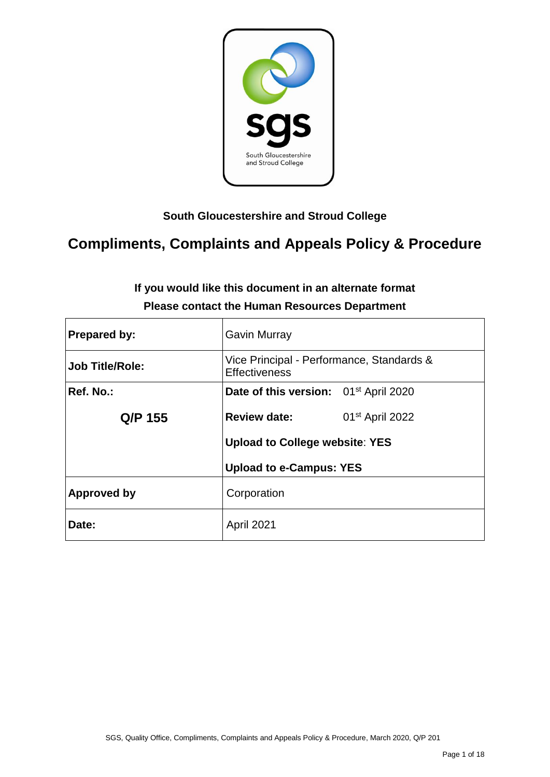

## **South Gloucestershire and Stroud College**

# **Compliments, Complaints and Appeals Policy & Procedure**

| <b>Prepared by:</b>    | <b>Gavin Murray</b>                                               |  |  |
|------------------------|-------------------------------------------------------------------|--|--|
| <b>Job Title/Role:</b> | Vice Principal - Performance, Standards &<br><b>Effectiveness</b> |  |  |
| Ref. No.:              | Date of this version: 01 <sup>st</sup> April 2020                 |  |  |
| Q/P 155                | <b>Review date:</b><br>01 <sup>st</sup> April 2022                |  |  |
|                        | <b>Upload to College website: YES</b>                             |  |  |
|                        | <b>Upload to e-Campus: YES</b>                                    |  |  |
| Approved by            | Corporation                                                       |  |  |
| Date:                  | April 2021                                                        |  |  |

## **If you would like this document in an alternate format Please contact the Human Resources Department**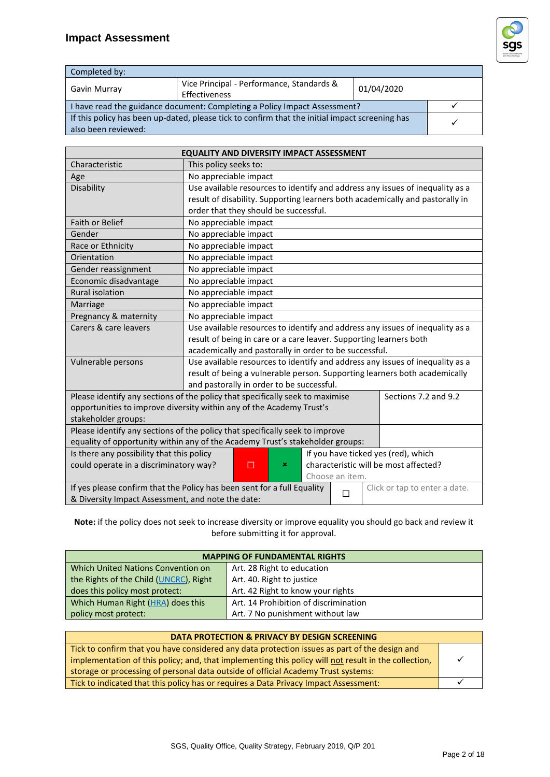## **Impact Assessment**



| Completed by:                                                                                                         |  |  |         |  |
|-----------------------------------------------------------------------------------------------------------------------|--|--|---------|--|
| Vice Principal - Performance, Standards &<br>01/04/2020<br>Gavin Murray<br>Effectiveness                              |  |  |         |  |
| I have read the guidance document: Completing a Policy Impact Assessment?                                             |  |  |         |  |
| If this policy has been up-dated, please tick to confirm that the initial impact screening has<br>also been reviewed: |  |  | $\cdot$ |  |

| <b>EQUALITY AND DIVERSITY IMPACT ASSESSMENT</b>                                                               |                                                                               |  |  |  |  |                                                                               |
|---------------------------------------------------------------------------------------------------------------|-------------------------------------------------------------------------------|--|--|--|--|-------------------------------------------------------------------------------|
| Characteristic                                                                                                | This policy seeks to:                                                         |  |  |  |  |                                                                               |
| Age                                                                                                           | No appreciable impact                                                         |  |  |  |  |                                                                               |
| Disability                                                                                                    |                                                                               |  |  |  |  | Use available resources to identify and address any issues of inequality as a |
|                                                                                                               |                                                                               |  |  |  |  | result of disability. Supporting learners both academically and pastorally in |
|                                                                                                               | order that they should be successful.                                         |  |  |  |  |                                                                               |
| <b>Faith or Belief</b>                                                                                        | No appreciable impact                                                         |  |  |  |  |                                                                               |
| Gender                                                                                                        | No appreciable impact                                                         |  |  |  |  |                                                                               |
| Race or Ethnicity                                                                                             | No appreciable impact                                                         |  |  |  |  |                                                                               |
| Orientation                                                                                                   | No appreciable impact                                                         |  |  |  |  |                                                                               |
| Gender reassignment                                                                                           | No appreciable impact                                                         |  |  |  |  |                                                                               |
| Economic disadvantage                                                                                         | No appreciable impact                                                         |  |  |  |  |                                                                               |
| <b>Rural isolation</b>                                                                                        | No appreciable impact                                                         |  |  |  |  |                                                                               |
| Marriage                                                                                                      | No appreciable impact                                                         |  |  |  |  |                                                                               |
| Pregnancy & maternity                                                                                         | No appreciable impact                                                         |  |  |  |  |                                                                               |
| Carers & care leavers                                                                                         | Use available resources to identify and address any issues of inequality as a |  |  |  |  |                                                                               |
|                                                                                                               | result of being in care or a care leaver. Supporting learners both            |  |  |  |  |                                                                               |
|                                                                                                               | academically and pastorally in order to be successful.                        |  |  |  |  |                                                                               |
| Vulnerable persons                                                                                            | Use available resources to identify and address any issues of inequality as a |  |  |  |  |                                                                               |
|                                                                                                               | result of being a vulnerable person. Supporting learners both academically    |  |  |  |  |                                                                               |
| and pastorally in order to be successful.                                                                     |                                                                               |  |  |  |  |                                                                               |
| Please identify any sections of the policy that specifically seek to maximise                                 |                                                                               |  |  |  |  | Sections 7.2 and 9.2                                                          |
|                                                                                                               | opportunities to improve diversity within any of the Academy Trust's          |  |  |  |  |                                                                               |
| stakeholder groups:                                                                                           |                                                                               |  |  |  |  |                                                                               |
| Please identify any sections of the policy that specifically seek to improve                                  |                                                                               |  |  |  |  |                                                                               |
| equality of opportunity within any of the Academy Trust's stakeholder groups:                                 |                                                                               |  |  |  |  |                                                                               |
| Is there any possibility that this policy<br>If you have ticked yes (red), which                              |                                                                               |  |  |  |  |                                                                               |
| could operate in a discriminatory way?<br>characteristic will be most affected?<br>п<br>×                     |                                                                               |  |  |  |  |                                                                               |
| Choose an item.                                                                                               |                                                                               |  |  |  |  |                                                                               |
| If yes please confirm that the Policy has been sent for a full Equality<br>Click or tap to enter a date.<br>П |                                                                               |  |  |  |  |                                                                               |
| & Diversity Impact Assessment, and note the date:                                                             |                                                                               |  |  |  |  |                                                                               |

**Note:** if the policy does not seek to increase diversity or improve equality you should go back and review it before submitting it for approval.

| <b>MAPPING OF FUNDAMENTAL RIGHTS</b>                                |                                       |  |
|---------------------------------------------------------------------|---------------------------------------|--|
| Which United Nations Convention on                                  | Art. 28 Right to education            |  |
| the Rights of the Child (UNCRC), Right<br>Art. 40. Right to justice |                                       |  |
| Art. 42 Right to know your rights<br>does this policy most protect: |                                       |  |
| Which Human Right (HRA) does this                                   | Art. 14 Prohibition of discrimination |  |
| policy most protect:                                                | Art. 7 No punishment without law      |  |

| DATA PROTECTION & PRIVACY BY DESIGN SCREENING                                                        |  |  |
|------------------------------------------------------------------------------------------------------|--|--|
| Tick to confirm that you have considered any data protection issues as part of the design and        |  |  |
| implementation of this policy; and, that implementing this policy will not result in the collection, |  |  |
| storage or processing of personal data outside of official Academy Trust systems:                    |  |  |
| Tick to indicated that this policy has or requires a Data Privacy Impact Assessment:                 |  |  |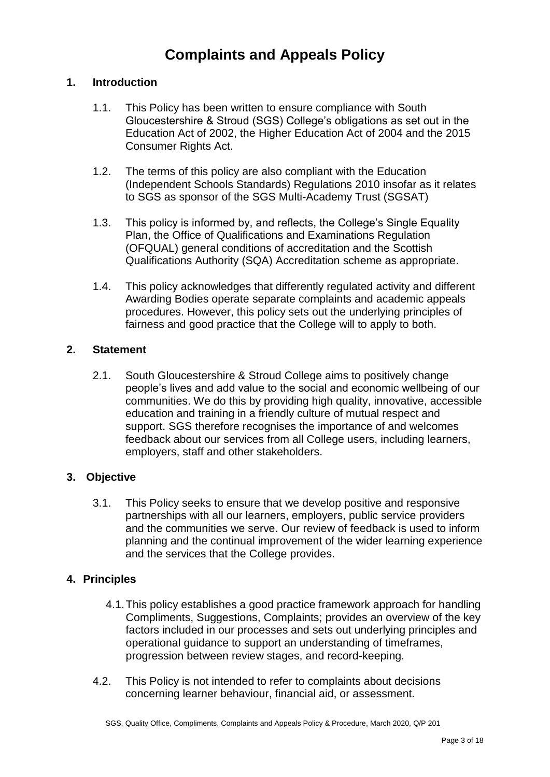## **Complaints and Appeals Policy**

## **1. Introduction**

- 1.1. This Policy has been written to ensure compliance with South Gloucestershire & Stroud (SGS) College's obligations as set out in the Education Act of 2002, the Higher Education Act of 2004 and the 2015 Consumer Rights Act.
- 1.2. The terms of this policy are also compliant with the Education (Independent Schools Standards) Regulations 2010 insofar as it relates to SGS as sponsor of the SGS Multi-Academy Trust (SGSAT)
- 1.3. This policy is informed by, and reflects, the College's Single Equality Plan, the Office of Qualifications and Examinations Regulation (OFQUAL) general conditions of accreditation and the Scottish Qualifications Authority (SQA) Accreditation scheme as appropriate.
- 1.4. This policy acknowledges that differently regulated activity and different Awarding Bodies operate separate complaints and academic appeals procedures. However, this policy sets out the underlying principles of fairness and good practice that the College will to apply to both.

### **2. Statement**

2.1. South Gloucestershire & Stroud College aims to positively change people's lives and add value to the social and economic wellbeing of our communities. We do this by providing high quality, innovative, accessible education and training in a friendly culture of mutual respect and support. SGS therefore recognises the importance of and welcomes feedback about our services from all College users, including learners, employers, staff and other stakeholders.

## **3. Objective**

3.1. This Policy seeks to ensure that we develop positive and responsive partnerships with all our learners, employers, public service providers and the communities we serve. Our review of feedback is used to inform planning and the continual improvement of the wider learning experience and the services that the College provides.

## **4. Principles**

- 4.1.This policy establishes a good practice framework approach for handling Compliments, Suggestions, Complaints; provides an overview of the key factors included in our processes and sets out underlying principles and operational guidance to support an understanding of timeframes, progression between review stages, and record-keeping.
- 4.2. This Policy is not intended to refer to complaints about decisions concerning learner behaviour, financial aid, or assessment.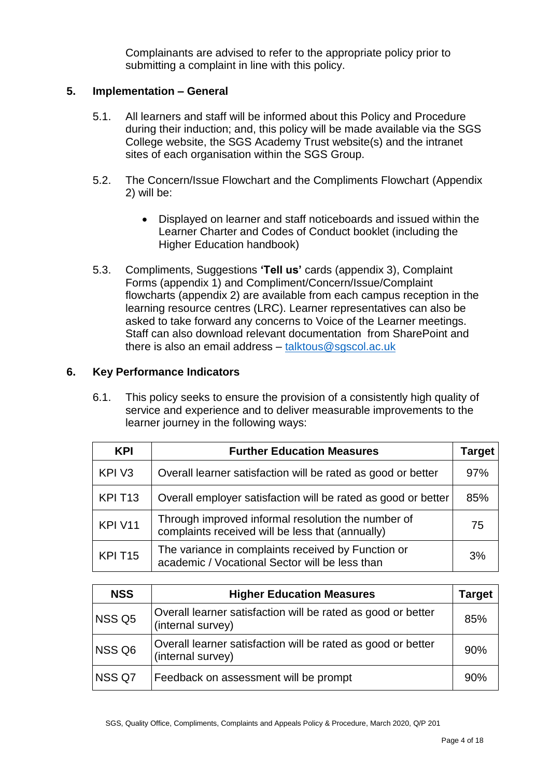Complainants are advised to refer to the appropriate policy prior to submitting a complaint in line with this policy.

## **5. Implementation – General**

- 5.1. All learners and staff will be informed about this Policy and Procedure during their induction; and, this policy will be made available via the SGS College website, the SGS Academy Trust website(s) and the intranet sites of each organisation within the SGS Group.
- 5.2. The Concern/Issue Flowchart and the Compliments Flowchart (Appendix 2) will be:
	- Displayed on learner and staff noticeboards and issued within the Learner Charter and Codes of Conduct booklet (including the Higher Education handbook)
- 5.3. Compliments, Suggestions **'Tell us'** cards (appendix 3), Complaint Forms (appendix 1) and Compliment/Concern/Issue/Complaint flowcharts (appendix 2) are available from each campus reception in the learning resource centres (LRC). Learner representatives can also be asked to take forward any concerns to Voice of the Learner meetings. Staff can also download relevant documentation from SharePoint and there is also an email address – [talktous@sgscol.ac.uk](http://staff.sgscol.ac.uk/cc/qual/Students/SGS%20Versions/Quality/talktous@sgscol.ac.uk)

## **6. Key Performance Indicators**

6.1. This policy seeks to ensure the provision of a consistently high quality of service and experience and to deliver measurable improvements to the learner journey in the following ways:

| <b>KPI</b>          | <b>Further Education Measures</b>                                                                      | Target |
|---------------------|--------------------------------------------------------------------------------------------------------|--------|
| KPI V3              | Overall learner satisfaction will be rated as good or better                                           | 97%    |
| KPI T <sub>13</sub> | Overall employer satisfaction will be rated as good or better                                          | 85%    |
| KPI V11             | Through improved informal resolution the number of<br>complaints received will be less that (annually) | 75     |
| KPI T <sub>15</sub> | The variance in complaints received by Function or<br>academic / Vocational Sector will be less than   | 3%     |

| <b>NSS</b> | <b>Higher Education Measures</b>                                                  |     |
|------------|-----------------------------------------------------------------------------------|-----|
| NSS Q5     | Overall learner satisfaction will be rated as good or better<br>(internal survey) | 85% |
| NSS Q6     | Overall learner satisfaction will be rated as good or better<br>(internal survey) | 90% |
| NSS Q7     | Feedback on assessment will be prompt                                             | 90% |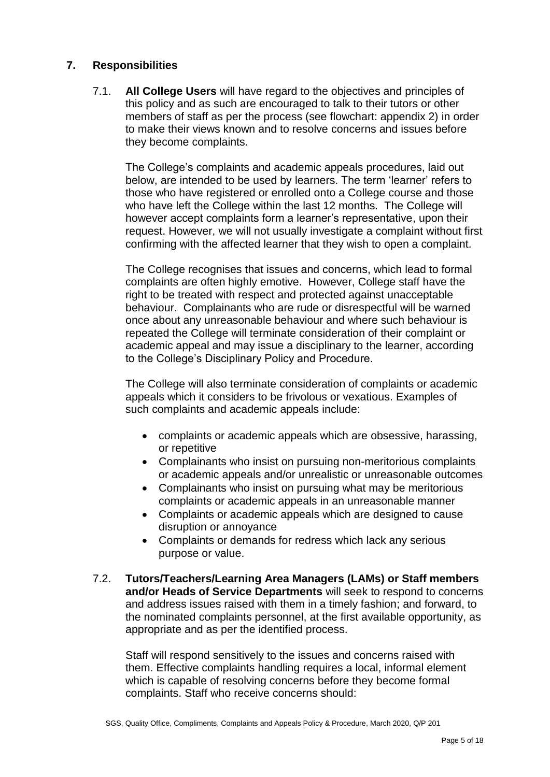## **7. Responsibilities**

7.1. **All College Users** will have regard to the objectives and principles of this policy and as such are encouraged to talk to their tutors or other members of staff as per the process (see flowchart: appendix 2) in order to make their views known and to resolve concerns and issues before they become complaints.

The College's complaints and academic appeals procedures, laid out below, are intended to be used by learners. The term 'learner' refers to those who have registered or enrolled onto a College course and those who have left the College within the last 12 months. The College will however accept complaints form a learner's representative, upon their request. However, we will not usually investigate a complaint without first confirming with the affected learner that they wish to open a complaint.

The College recognises that issues and concerns, which lead to formal complaints are often highly emotive. However, College staff have the right to be treated with respect and protected against unacceptable behaviour. Complainants who are rude or disrespectful will be warned once about any unreasonable behaviour and where such behaviour is repeated the College will terminate consideration of their complaint or academic appeal and may issue a disciplinary to the learner, according to the College's Disciplinary Policy and Procedure.

The College will also terminate consideration of complaints or academic appeals which it considers to be frivolous or vexatious. Examples of such complaints and academic appeals include:

- complaints or academic appeals which are obsessive, harassing, or repetitive
- Complainants who insist on pursuing non-meritorious complaints or academic appeals and/or unrealistic or unreasonable outcomes
- Complainants who insist on pursuing what may be meritorious complaints or academic appeals in an unreasonable manner
- Complaints or academic appeals which are designed to cause disruption or annoyance
- Complaints or demands for redress which lack any serious purpose or value.
- 7.2. **Tutors/Teachers/Learning Area Managers (LAMs) or Staff members and/or Heads of Service Departments** will seek to respond to concerns and address issues raised with them in a timely fashion; and forward, to the nominated complaints personnel, at the first available opportunity, as appropriate and as per the identified process.

Staff will respond sensitively to the issues and concerns raised with them. Effective complaints handling requires a local, informal element which is capable of resolving concerns before they become formal complaints. Staff who receive concerns should: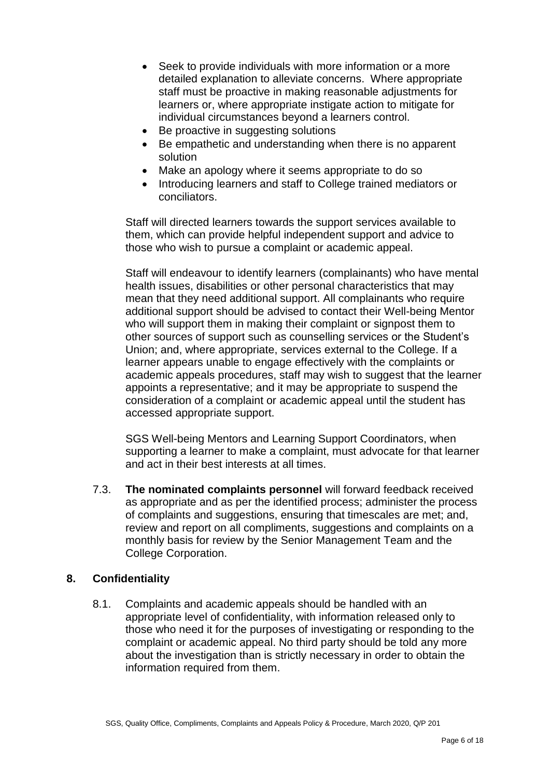- Seek to provide individuals with more information or a more detailed explanation to alleviate concerns. Where appropriate staff must be proactive in making reasonable adjustments for learners or, where appropriate instigate action to mitigate for individual circumstances beyond a learners control.
- Be proactive in suggesting solutions
- Be empathetic and understanding when there is no apparent solution
- Make an apology where it seems appropriate to do so
- Introducing learners and staff to College trained mediators or conciliators.

Staff will directed learners towards the support services available to them, which can provide helpful independent support and advice to those who wish to pursue a complaint or academic appeal.

Staff will endeavour to identify learners (complainants) who have mental health issues, disabilities or other personal characteristics that may mean that they need additional support. All complainants who require additional support should be advised to contact their Well-being Mentor who will support them in making their complaint or signpost them to other sources of support such as counselling services or the Student's Union; and, where appropriate, services external to the College. If a learner appears unable to engage effectively with the complaints or academic appeals procedures, staff may wish to suggest that the learner appoints a representative; and it may be appropriate to suspend the consideration of a complaint or academic appeal until the student has accessed appropriate support.

SGS Well-being Mentors and Learning Support Coordinators, when supporting a learner to make a complaint, must advocate for that learner and act in their best interests at all times.

7.3. **The nominated complaints personnel** will forward feedback received as appropriate and as per the identified process; administer the process of complaints and suggestions, ensuring that timescales are met; and, review and report on all compliments, suggestions and complaints on a monthly basis for review by the Senior Management Team and the College Corporation.

## **8. Confidentiality**

8.1. Complaints and academic appeals should be handled with an appropriate level of confidentiality, with information released only to those who need it for the purposes of investigating or responding to the complaint or academic appeal. No third party should be told any more about the investigation than is strictly necessary in order to obtain the information required from them.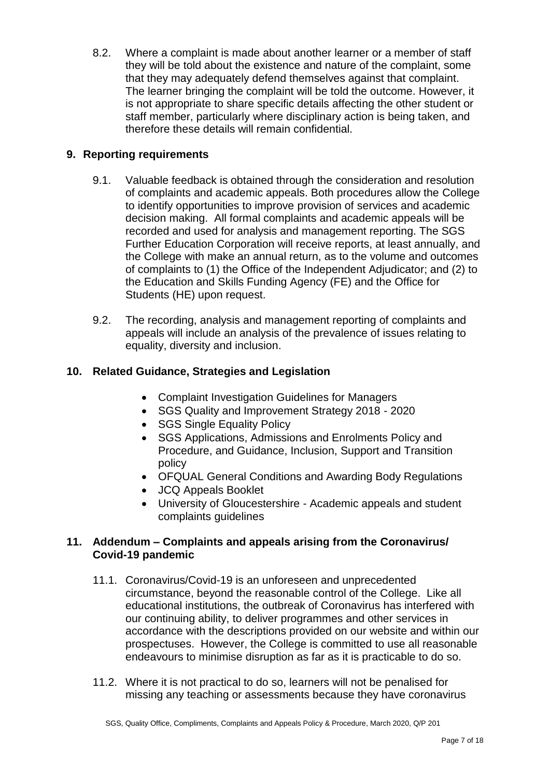8.2. Where a complaint is made about another learner or a member of staff they will be told about the existence and nature of the complaint, some that they may adequately defend themselves against that complaint. The learner bringing the complaint will be told the outcome. However, it is not appropriate to share specific details affecting the other student or staff member, particularly where disciplinary action is being taken, and therefore these details will remain confidential.

## **9. Reporting requirements**

- 9.1. Valuable feedback is obtained through the consideration and resolution of complaints and academic appeals. Both procedures allow the College to identify opportunities to improve provision of services and academic decision making. All formal complaints and academic appeals will be recorded and used for analysis and management reporting. The SGS Further Education Corporation will receive reports, at least annually, and the College with make an annual return, as to the volume and outcomes of complaints to (1) the Office of the Independent Adjudicator; and (2) to the Education and Skills Funding Agency (FE) and the Office for Students (HE) upon request.
- 9.2. The recording, analysis and management reporting of complaints and appeals will include an analysis of the prevalence of issues relating to equality, diversity and inclusion.

## **10. Related Guidance, Strategies and Legislation**

- Complaint Investigation Guidelines for Managers
- SGS Quality and Improvement Strategy 2018 2020
- SGS Single Equality Policy
- SGS Applications, Admissions and Enrolments Policy and Procedure, and Guidance, Inclusion, Support and Transition policy
- OFQUAL General Conditions and Awarding Body Regulations
- JCQ Appeals Booklet
- University of Gloucestershire Academic appeals and student complaints guidelines

## **11. Addendum – Complaints and appeals arising from the Coronavirus/ Covid-19 pandemic**

- 11.1. Coronavirus/Covid-19 is an unforeseen and unprecedented circumstance, beyond the reasonable control of the College. Like all educational institutions, the outbreak of Coronavirus has interfered with our continuing ability, to deliver programmes and other services in accordance with the descriptions provided on our website and within our prospectuses. However, the College is committed to use all reasonable endeavours to minimise disruption as far as it is practicable to do so.
- 11.2. Where it is not practical to do so, learners will not be penalised for missing any teaching or assessments because they have coronavirus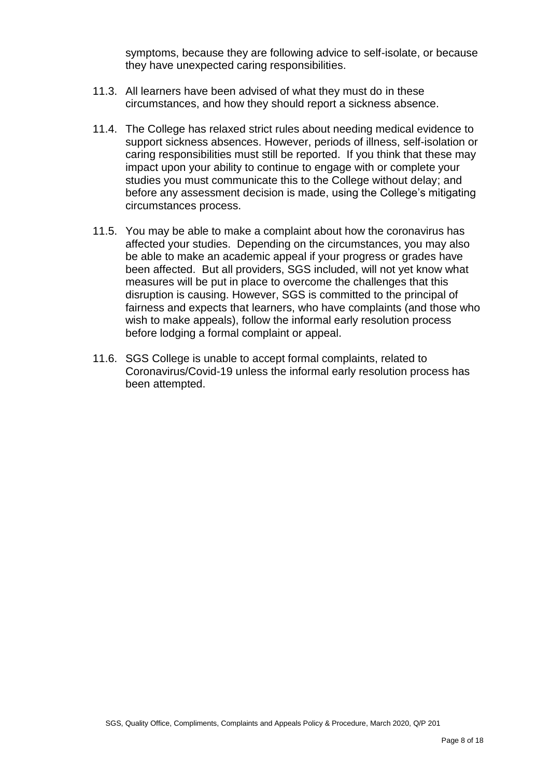symptoms, because they are following advice to self-isolate, or because they have unexpected caring responsibilities.

- 11.3. All learners have been advised of what they must do in these circumstances, and how they should report a sickness absence.
- 11.4. The College has relaxed strict rules about needing medical evidence to support sickness absences. However, periods of illness, self-isolation or caring responsibilities must still be reported. If you think that these may impact upon your ability to continue to engage with or complete your studies you must communicate this to the College without delay; and before any assessment decision is made, using the College's mitigating circumstances process.
- 11.5. You may be able to make a complaint about how the coronavirus has affected your studies. Depending on the circumstances, you may also be able to make an academic appeal if your progress or grades have been affected. But all providers, SGS included, will not yet know what measures will be put in place to overcome the challenges that this disruption is causing. However, SGS is committed to the principal of fairness and expects that learners, who have complaints (and those who wish to make appeals), follow the informal early resolution process before lodging a formal complaint or appeal.
- 11.6. SGS College is unable to accept formal complaints, related to Coronavirus/Covid-19 unless the informal early resolution process has been attempted.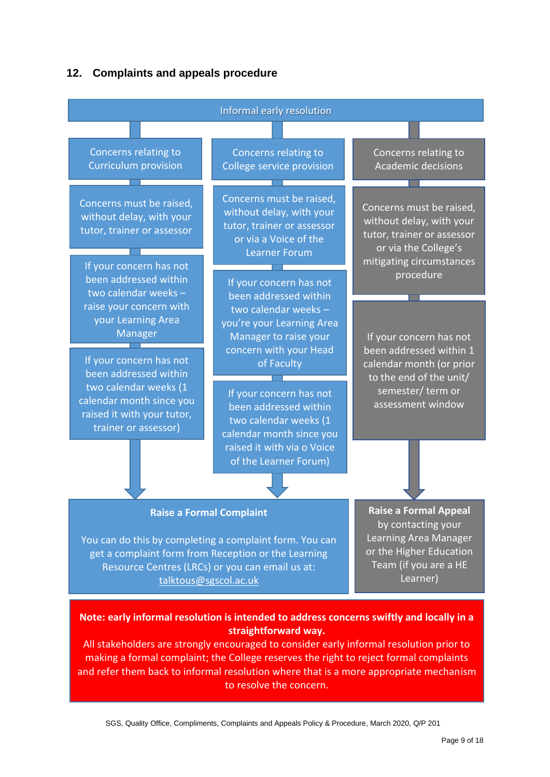## **12. Complaints and appeals procedure**



**Note: early informal resolution is intended to address concerns swiftly and locally in a straightforward way.** 

All stakeholders are strongly encouraged to consider early informal resolution prior to making a formal complaint; the College reserves the right to reject formal complaints and refer them back to informal resolution where that is a more appropriate mechanism to resolve the concern.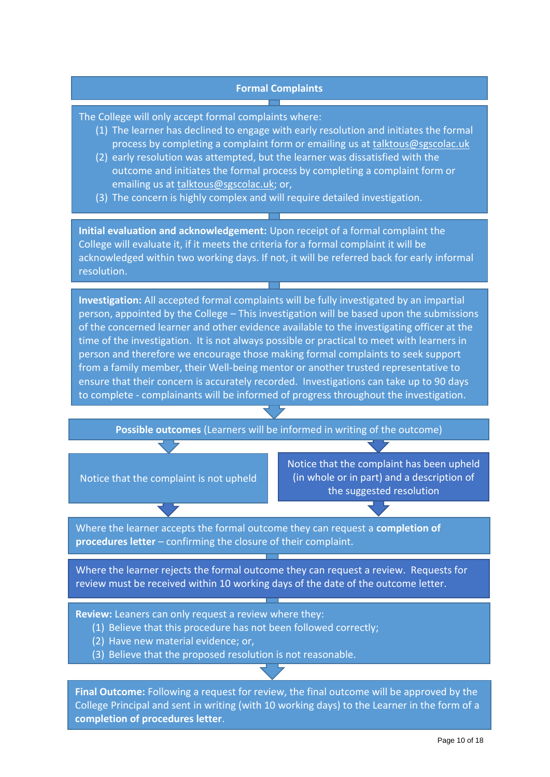#### **Formal Complaints**

The College will only accept formal complaints where:

- (1) The learner has declined to engage with early resolution and initiates the formal process by completing a complaint form or emailing us at [talktous@sgscolac.uk](mailto:talktous@sgscolac.uk)
- (2) early resolution was attempted, but the learner was dissatisfied with the outcome and initiates the formal process by completing a complaint form or emailing us at [talktous@sgscolac.uk;](mailto:talktous@sgscolac.uk) or,
- (3) The concern is highly complex and will require detailed investigation.

**Initial evaluation and acknowledgement:** Upon receipt of a formal complaint the College will evaluate it, if it meets the criteria for a formal complaint it will be acknowledged within two working days. If not, it will be referred back for early informal resolution.

**Investigation:** All accepted formal complaints will be fully investigated by an impartial person, appointed by the College – This investigation will be based upon the submissions of the concerned learner and other evidence available to the investigating officer at the time of the investigation. It is not always possible or practical to meet with learners in person and therefore we encourage those making formal complaints to seek support from a family member, their Well-being mentor or another trusted representative to ensure that their concern is accurately recorded. Investigations can take up to 90 days to complete - complainants will be informed of progress throughout the investigation.

**Possible outcomes** (Learners will be informed in writing of the outcome)

Notice that the complaint is not upheld

Notice that the complaint has been upheld (in whole or in part) and a description of the suggested resolution

Where the learner accepts the formal outcome they can request a **completion of procedures letter** – confirming the closure of their complaint.

Where the learner rejects the formal outcome they can request a review. Requests for review must be received within 10 working days of the date of the outcome letter.

**Review:** Leaners can only request a review where they:

- (1) Believe that this procedure has not been followed correctly;
- (2) Have new material evidence; or,
- (3) Believe that the proposed resolution is not reasonable.

SGS, Quality Office, Compliments, Complaints and Appeals Policy & Procedure, March 2020, Q/P 201 **completion of procedures letter**. **Final Outcome:** Following a request for review, the final outcome will be approved by the College Principal and sent in writing (with 10 working days) to the Learner in the form of a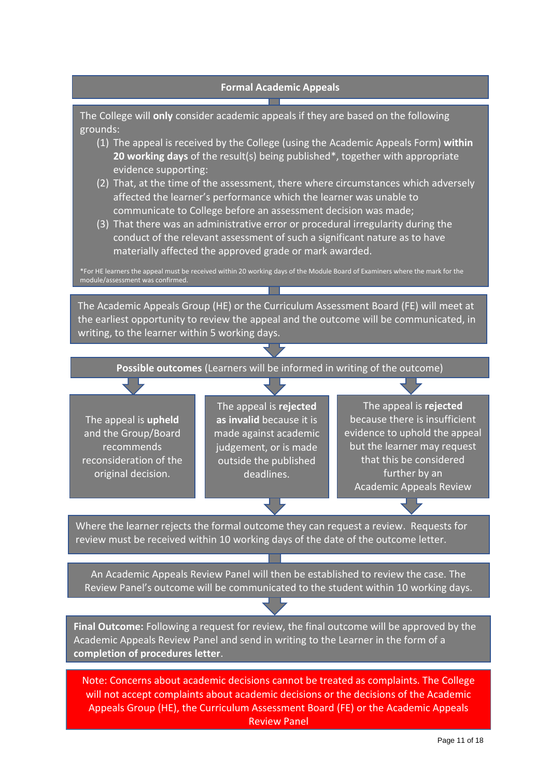

The College will **only** consider academic appeals if they are based on the following grounds:

- (1) The appeal is received by the College (using the Academic Appeals Form) **within 20 working days** of the result(s) being published\*, together with appropriate evidence supporting:
- (2) That, at the time of the assessment, there where circumstances which adversely affected the learner's performance which the learner was unable to communicate to College before an assessment decision was made;
- (3) That there was an administrative error or procedural irregularity during the conduct of the relevant assessment of such a significant nature as to have materially affected the approved grade or mark awarded.

\*For HE learners the appeal must be received within 20 working days of the Module Board of Examiners where the mark for the module/assessment was confirmed.

The Academic Appeals Group (HE) or the Curriculum Assessment Board (FE) will meet at the earliest opportunity to review the appeal and the outcome will be communicated, in writing, to the learner within 5 working days.

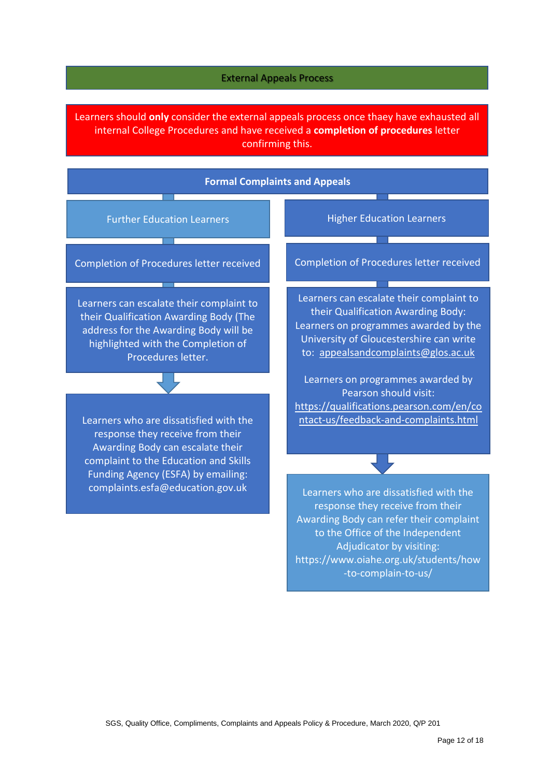#### External Appeals Process

Learners should **only** consider the external appeals process once thaey have exhausted all internal College Procedures and have received a **completion of procedures** letter confirming this.

#### **Formal Complaints and Appeals**

Completion of Procedures letter received

Learners can escalate their complaint to their Qualification Awarding Body (The address for the Awarding Body will be highlighted with the Completion of Procedures letter.

Learners who are dissatisfied with the response they receive from their Awarding Body can escalate their complaint to the Education and Skills Funding Agency (ESFA) by emailing: complaints.esfa@education.gov.uk

Further Education Learners **Higher Education Learners** 

Completion of Procedures letter received

T

Learners can escalate their complaint to their Qualification Awarding Body: Learners on programmes awarded by the University of Gloucestershire can write to: [appealsandcomplaints@glos.ac.uk](mailto:appealsandcomplaints@glos.ac.uk)

Learners on programmes awarded by Pearson should visit: [https://qualifications.pearson.com/en/co](https://qualifications.pearson.com/en/contact-us/feedback-and-complaints.html) [ntact-us/feedback-and-complaints.html](https://qualifications.pearson.com/en/contact-us/feedback-and-complaints.html)

Learners who are dissatisfied with the response they receive from their Awarding Body can refer their complaint to the Office of the Independent Adjudicator by visiting: https://www.oiahe.org.uk/students/how -to-complain-to-us/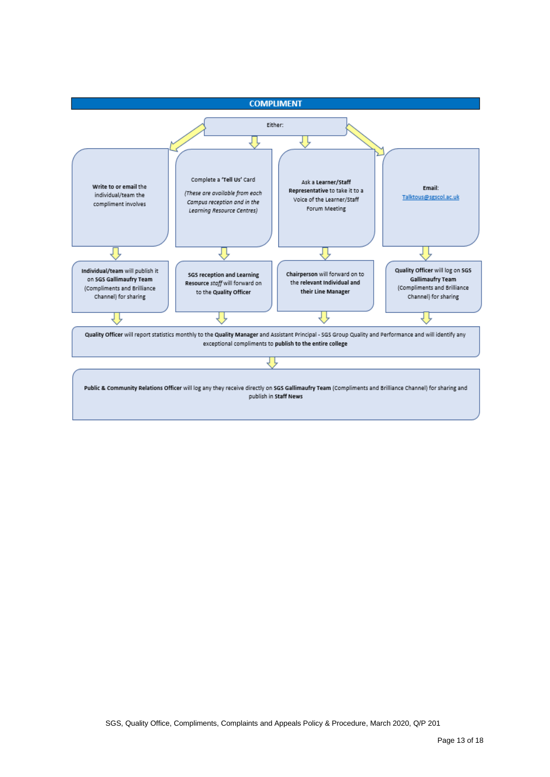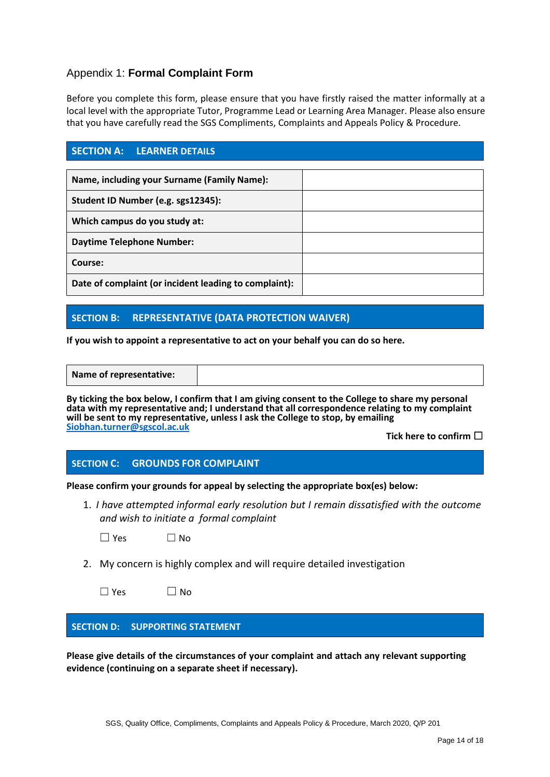## Appendix 1: **Formal Complaint Form**

Before you complete this form, please ensure that you have firstly raised the matter informally at a local level with the appropriate Tutor, Programme Lead or Learning Area Manager. Please also ensure that you have carefully read the SGS Compliments, Complaints and Appeals Policy & Procedure.

### **SECTION A: LEARNER DETAILS**

| Name, including your Surname (Family Name):           |  |
|-------------------------------------------------------|--|
| Student ID Number (e.g. sgs12345):                    |  |
| Which campus do you study at:                         |  |
| <b>Daytime Telephone Number:</b>                      |  |
| Course:                                               |  |
| Date of complaint (or incident leading to complaint): |  |

## **SECTION B: REPRESENTATIVE (DATA PROTECTION WAIVER)**

**If you wish to appoint a representative to act on your behalf you can do so here.** 

**Name of representative:** 

**By ticking the box below, I confirm that I am giving consent to the College to share my personal data with my representative and; I understand that all correspondence relating to my complaint will be sent to my representative, unless I ask the College to stop, by emailing [Siobhan.turner@sgscol.ac.uk](mailto:Siobhan.turner@sgscol.ac.uk)**

**Tick here to confirm** ☐

### **SECTION C: GROUNDS FOR COMPLAINT**

**Please confirm your grounds for appeal by selecting the appropriate box(es) below:**

1. *I have attempted informal early resolution but I remain dissatisfied with the outcome and wish to initiate a formal complaint* 

 $\square$  Yes  $\square$  No

2. My concern is highly complex and will require detailed investigation

| $\Box$ Yes | $\Box$ No |
|------------|-----------|
|------------|-----------|

### **SECTION D: SUPPORTING STATEMENT**

**Please give details of the circumstances of your complaint and attach any relevant supporting evidence (continuing on a separate sheet if necessary).**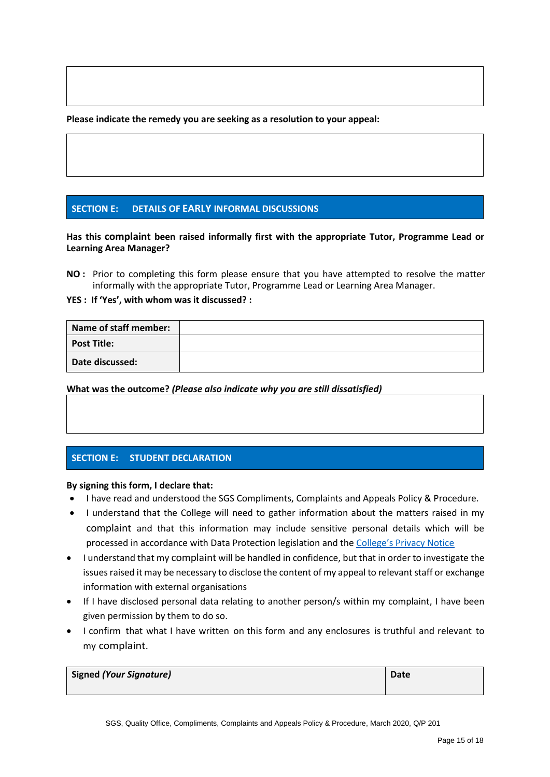**Please indicate the remedy you are seeking as a resolution to your appeal:**

#### **SECTION E: DETAILS OF EARLY INFORMAL DISCUSSIONS**

**Has this complaint been raised informally first with the appropriate Tutor, Programme Lead or Learning Area Manager?**

**NO :** Prior to completing this form please ensure that you have attempted to resolve the matter informally with the appropriate Tutor, Programme Lead or Learning Area Manager.

**YES : If 'Yes', with whom was it discussed? :**

| Name of staff member: |  |
|-----------------------|--|
| <b>Post Title:</b>    |  |
| Date discussed:       |  |

**What was the outcome?** *(Please also indicate why you are still dissatisfied)*

### **SECTION E: STUDENT DECLARATION**

#### **By signing this form, I declare that:**

- I have read and understood the SGS Compliments, Complaints and Appeals Policy & Procedure.
- I understand that the College will need to gather information about the matters raised in my complaint and that this information may include sensitive personal details which will be processed in accordance with Data Protection legislation and the [College's Privacy Notice](https://www.sgscol.ac.uk/privacy)
- I understand that my complaint will be handled in confidence, but that in order to investigate the issues raised it may be necessary to disclose the content of my appeal to relevant staff or exchange information with external organisations
- If I have disclosed personal data relating to another person/s within my complaint, I have been given permission by them to do so.
- I confirm that what I have written on this form and any enclosures is truthful and relevant to my complaint.

| Signed (Your Signature) | Date |
|-------------------------|------|
|                         |      |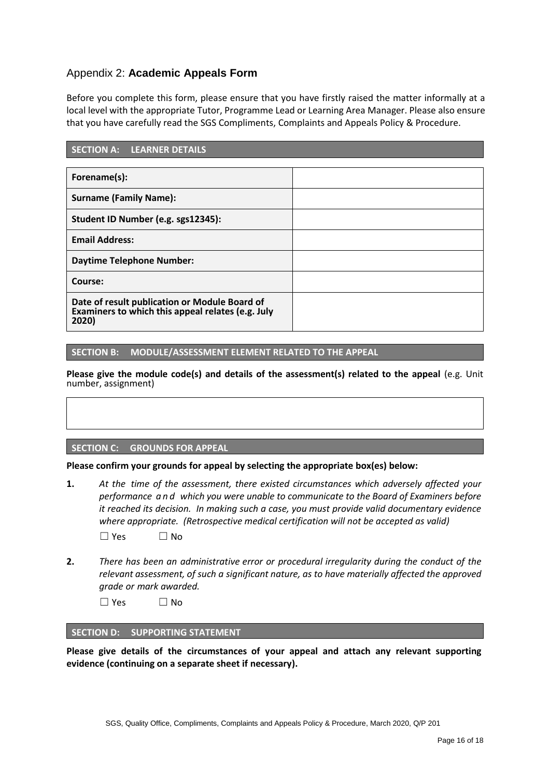## Appendix 2: **Academic Appeals Form**

Before you complete this form, please ensure that you have firstly raised the matter informally at a local level with the appropriate Tutor, Programme Lead or Learning Area Manager. Please also ensure that you have carefully read the SGS Compliments, Complaints and Appeals Policy & Procedure.

| <b>SECTION A: LEARNER DETAILS</b>                                                                           |  |  |
|-------------------------------------------------------------------------------------------------------------|--|--|
|                                                                                                             |  |  |
| Forename(s):                                                                                                |  |  |
| <b>Surname (Family Name):</b>                                                                               |  |  |
| Student ID Number (e.g. sgs12345):                                                                          |  |  |
| <b>Email Address:</b>                                                                                       |  |  |
| <b>Daytime Telephone Number:</b>                                                                            |  |  |
| Course:                                                                                                     |  |  |
| Date of result publication or Module Board of<br>Examiners to which this appeal relates (e.g. July<br>2020) |  |  |

#### **SECTION B: MODULE/ASSESSMENT ELEMENT RELATED TO THE APPEAL**

**Please give the module code(s) and details of the assessment(s) related to the appeal** (e.g. Unit number, assignment)

#### **SECTION C: GROUNDS FOR APPEAL**

**Please confirm your grounds for appeal by selecting the appropriate box(es) below:**

- **1.** *At the time of the assessment, there existed circumstances which adversely affected your performance a n d which you were unable to communicate to the Board of Examiners before it reached its decision. In making such a case, you must provide valid documentary evidence where appropriate. (Retrospective medical certification will not be accepted as valid)*  $\square$  Yes  $\square$  No
- **2.** *There has been an administrative error or procedural irregularity during the conduct of the relevant assessment, of such a significant nature, as to have materially affected the approved grade or mark awarded.*

 $\Box$  Yes  $\Box$  No

#### **SECTION D: SUPPORTING STATEMENT**

**Please give details of the circumstances of your appeal and attach any relevant supporting evidence (continuing on a separate sheet if necessary).**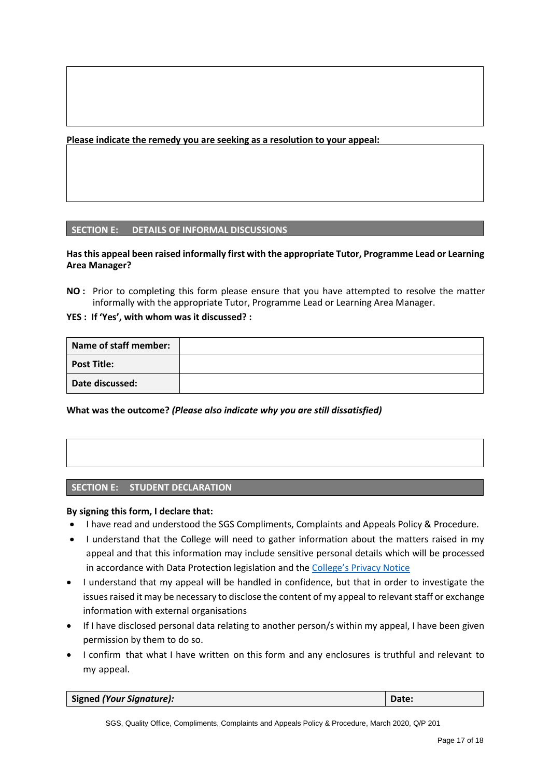**Please indicate the remedy you are seeking as a resolution to your appeal:**

#### **SECTION E: DETAILS OF INFORMAL DISCUSSIONS**

#### **Has this appeal been raised informally first with the appropriate Tutor, Programme Lead or Learning Area Manager?**

**NO :** Prior to completing this form please ensure that you have attempted to resolve the matter informally with the appropriate Tutor, Programme Lead or Learning Area Manager.

#### **YES : If 'Yes', with whom was it discussed? :**

| Name of staff member: |  |
|-----------------------|--|
| <b>Post Title:</b>    |  |
| Date discussed:       |  |

**What was the outcome?** *(Please also indicate why you are still dissatisfied)*

#### **SECTION E: STUDENT DECLARATION**

#### **By signing this form, I declare that:**

- I have read and understood the SGS Compliments, Complaints and Appeals Policy & Procedure.
- I understand that the College will need to gather information about the matters raised in my appeal and that this information may include sensitive personal details which will be processed in accordance with Data Protection legislation and the [College's Privacy Notice](https://www.sgscol.ac.uk/privacy)
- I understand that my appeal will be handled in confidence, but that in order to investigate the issues raised it may be necessary to disclose the content of my appeal to relevant staff or exchange information with external organisations
- If I have disclosed personal data relating to another person/s within my appeal, I have been given permission by them to do so.
- I confirm that what I have written on this form and any enclosures is truthful and relevant to my appeal.

| Signed (Your Signature): | Date: |
|--------------------------|-------|
|--------------------------|-------|

SGS, Quality Office, Compliments, Complaints and Appeals Policy & Procedure, March 2020, Q/P 201